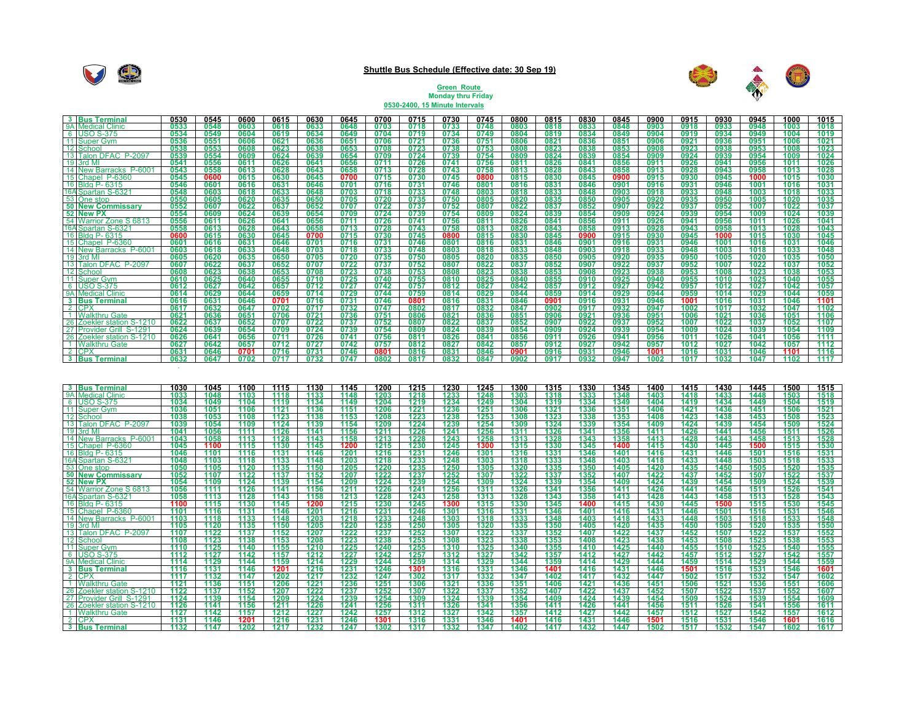

## **Shuttle Bus Schedule (Effective date: 30 Sep 19)**



## **Green Route Monday thru Friday 0530-2400, 15 Minute Intervals**

|              | 3 Bus Terminal                                        | 0530         | 0545         | 0600         | 0615                | 0630         | 0645         | 0700                 | 0715         | 0730                 | 0745                 | 0800         | 0815         | 0830         | 0845         | 0900         | 0915         | 0930         | 0945         | 1000                 | 1015             |
|--------------|-------------------------------------------------------|--------------|--------------|--------------|---------------------|--------------|--------------|----------------------|--------------|----------------------|----------------------|--------------|--------------|--------------|--------------|--------------|--------------|--------------|--------------|----------------------|------------------|
|              | 9A Medical Clinic                                     | 0533         | 054          | 0603         | 0618                |              | 0641         | 0703                 | 0718         | 0733                 | 0748                 | 0803         | 0818         | 0833         | 0848         | 0903         | 0918         | 0933         | 0948         | 1003                 | 101              |
|              | 6 USO S-375                                           | 0534         | 0549         | 0604         | 0619                | 0634         | 0649         | 0704                 | 0719         | 0734                 | 0749                 | 0804         | 0819         | 0834         | 0849         | 0904         | 0919         | 0934         | 0949         | 1004                 | 1019             |
|              | 11 Super Gym                                          | 0536         | 0551         | 0606         | 0621                | 0636         | 0651         | 0706                 | 0721         | 0736                 | 0751                 | 0806         | 0821         | 0836         | 0851         | 0906         | 0921         | 0936         | 0951         | 1006                 | $102^{\circ}$    |
|              | 12 Schoo                                              | 0538         | 055          | 0608         | 0623                | 0638         | 0653         | 0708                 | 0723         | 0738                 | 0753                 | 0808         | 0823         | 0838         | 0853         | 0908         | 0923         | 0938         | 0953         | 1008                 | 102              |
|              | 13 Talon DFAC P-2097                                  | 0539         | 0554         | 0609         | 0624                | 0639         | 0654         | 0709                 | 0724         | 0739                 | 0754                 | 0809         | 0824         | 0839         | 0854         | 0909         | 0924         | 0939         | 0954         | 1009                 | 1024             |
|              | 19 3rd M                                              | 0541         | 0556         | 0611         | 0626                | 0641         | 0656         | 0711                 | 0726         | 0741                 | 0756                 | 0811         | 0826         | 0841         | 0856         | 0911         | 0926         | 0941         | 0956         | 1011                 | 1026             |
|              | 14 New Barracks P-6001                                | 0543         | 0558         | 0613<br>0615 | 0628                | 0643         | 0658         | 0713                 | 0728<br>0730 | 0743<br>0745         | 0758                 | 0813<br>0815 | 0828<br>0830 | 0843         | 0858         | 0913<br>0915 | 0928         | 0943<br>0945 | 0958         | 1013<br>1015         | 1028             |
|              | 15 Chapel P-6360<br>16 Bldg P- 6315                   | 0545<br>0546 | 0600<br>0601 | 0616         | 0630<br>0631        | 0645<br>0646 | 0700<br>0701 | 0715<br>0716         | 0731         | 0746                 | 0800<br>0801         | 0816         | 0831         | 0845<br>0846 | 0900<br>0901 | 0916         | 0930<br>0931 | 0946         | 1000<br>1001 | 1016                 | 1030<br>1031     |
|              | 16A Spartan S-632                                     | 0548         | 0603         | 0618         | 0633                | 0648         | 0703         | 0718                 | 0733         | 0748                 | 0803                 | 0818         | 0833         | 0848         | 0903         | 0918         | 0933         | 0948         | 1003         | 1018                 | <u> 103:</u>     |
|              | 53 One stop                                           | 0550         | 0605         | 0620         | 0635                | 0650         | 0705         | 0720                 | 0735         | 0750                 | 0805                 | 0820         | 0835         | 0850         | 0905         | 0920         | 0935         | 0950         | 1005         | 1020                 | 1035             |
|              | <b>50 New Commissary</b>                              | 0552         | 0607         | 0622         | 0637                | 0652         | 0707         | 0722                 | 0737         | 0752                 | 0807                 | 0822         | 0837         | 0852         | 0907         | 0922         | 0937         | 0952         | 1007         | 1022                 | 1037             |
|              | 52 New PX                                             | 0554         | 0609         | 0624         | 0639                | 0654         | 0709         | 0724                 | 0739         | 0754                 | 0809                 | 0824         | 0839         | 0854         | 0909         | 0924         | 0939         | 0954         | 1009         | 1024                 | 1039             |
|              | 54 Warrior Zone S 6813                                | 0556         | 0611         | 0626         | 0641                | 0656         | 0711         | 0726                 | 0741         | 0756                 | 0811                 | 0826         | 0841         | 0856         | 0911         | 0926         | 0941         | 0956         | 1011         | 1026                 | 1041             |
|              | 16A Spartan S-632                                     | 0558         | 0613         | 0628         | 0643                | 0658         | 0713         | 0728                 | 0743         | 0758                 | 0813                 | 0828         | 0843         | 0858         | 0913         | 0928         | 0943         | 0958         | 1013         | 1028                 | 1043             |
|              | 16 Bldg P- 6315                                       | 0600         | 0615         | 0630         | 0645                | 0700         | 0715         | 0730                 | 0745         | 0800                 | 0815                 | 0830         | 0845         | 0900         | 0915         | 0930         | 0945         | 1000         | 1015         | 1030                 | 1045             |
|              | 15 Chapel P-6360                                      | 0601         | 0616         | 0631         | 0646                | 0701         | 0716         | 0731                 | 0746         | 0801                 | 0816                 | 0831         | 0846         | 0901         | 0916         | 0931         | 0946         | 1001         | 1016         | 1031                 | 1046             |
|              | 14 New Barracks P-600                                 | 0603         | 0618         | 0633         | 0648                | 0703         | 0718         | 0733                 | 0748         | 0803                 | 0818                 | 0833         | 0848         | 0903         | 0918         | 0933         | 0948         | 1003         | 1018         | 1033                 | 1048             |
|              | 19 3rd M                                              | 0605         | 0620         | 0635         | 0650                | 0705         | 0720         | 0735                 | 0750         | 0805                 | 0820                 | 0835         | 0850         | 0905         | 0920         | 0935         | 0950         | 1005         | 1020         | 1035                 | 1050             |
|              | 13 Talon DFAC P-2097                                  | 0607         | 0622         | 0637         | 0652                | 0707         | 0722         | 0737                 | 0752         | 0807                 | 0822                 | 0837         | 0852         | 0907         | 0922         | 0937         | 0952         | 1007         | 1022         | 1037                 | 1052             |
|              | 12 Schoo                                              | 0608         | 0623         | 0638         | 0653                | 0708         | 0723         | 0738                 | 0753         | 0808                 | 0823                 | 0838         | 0853         | 0908         | 0923         | 0938         | 0953         | 1008         | 1023         | 1038                 | 105:             |
|              | 11 Super Gym                                          | 0610         | 0625         | 0640         | 0655                | 0710         | 0725         | 0740                 | 0755         | 0810                 | 0825                 | 0840         | 0855         | 0910         | 0925         | 0940         | 0955         | 1010         | 1025         | 1040                 | 1055             |
|              | 6 USO S-375                                           | 0612<br>0614 | 0627         | 0642<br>0644 | 0657                | 0712<br>0714 | 0727         | 0742<br>0744         | 0757<br>0759 | 0812                 | 0827<br>0829         | 0842<br>0844 | 0857         | 0912         | 0927         | 0942<br>0944 | 0957         | 1012<br>1014 | 1027         | 1042<br>1044         | 1057             |
|              | 9A Medical Clinic<br>3 Bus Terminal                   | 0616         | 0629<br>0631 | 0646         | 0659<br>0701        | 0716         | 0729<br>0731 | 0746                 | 0801         | 0814<br>0816         | 0831                 | 0846         | 0859<br>0901 | 0914<br>0916 | 0929<br>0931 | 0946         | 0959<br>1001 | 1016         | 1029<br>1031 | 1046                 | 105<br>1101      |
|              | 2 CPX                                                 | 0617         | 0632         | 0647         | 0702                | 0717         | 0732         | 0747                 | 0802         | 0817                 | 0832                 | 0847         | 0902         | 0917         | 0932         | 0947         | 1002         | 1017         | 1032         | 1047                 | 1102             |
|              | 1 Walkthru Gate                                       | 0621         | 0636         | 0651         | 0706                | 0721         | 0736         | 0751                 | 0806         | 0821                 | 0836                 | 0851         | 0906         | 0921         | 0936         | 0951         | 1006         | 1021         | 1036         | 1051                 | 1106             |
|              | 26 Zoekler station S-1210                             | 0622         | 0637         | 0652         | 0707                | 0722         | 0737         | 0752                 | 0807         | 0822                 | 0837                 | 0852         | 0907         | 0922         | 0937         | 0952         | 1007         | 1022         | 1037         | 1052                 | 1107             |
|              | 27 Provider Grill S-1291                              | 0624         | 0639         | 0654         | 0709                | 0724         | 0739         | 0754                 | 0809         | 0824                 | 0839                 | 0854         | 0909         | 0924         | 0939         | 0954         | 1009         | 1024         | 1039         | 1054                 | 1109             |
|              | 26 Zoekler station S-1210                             | 0626         | 0641         | 0656         | 0711                | 0726         | 0741         | 0756                 | 0811         | 0826                 | 0841                 | 0856         | 0911         | 0926         | 0941         | 0956         | 1011         | 1026         | 1041         | 1056                 | 1111             |
|              | 1 Walkthru Gate                                       | 0627         | 0642         | 0657         | 0712                | 0727         | 0742         | 0757                 | 0812         | 0827                 | 0842                 | 0857         | 0912         | 0927         | 0942         | 0957         | 1012         | 1027         | 1042         | 1057                 | 1112             |
|              | $2$ CP                                                | 0631         | 0646         | 0701         | 0716                | 0731         | 0746         | 0801                 | 0816         | 0831                 | 0846                 | 0901         | 0916         | 0931         | 0946         | 1001         | 1016         | 1031         | 1046         | 1101                 | 1116             |
|              | 3 Bus Terminal                                        | 0632         | 0647         | 0702         | 0717                | 0732         | 0747         | 0802                 | 0817         | 0832                 | 0847                 | 0902         | 0917         | 0932         | 0947         | 1002         | 1017         | 1032         | 1047         | 1102                 | 1117             |
|              |                                                       |              |              |              |                     |              |              |                      |              |                      |                      |              |              |              |              |              |              |              |              |                      |                  |
|              | 3 Bus Termina<br>9A Medical Clinic                    | 1030         | 1045         | 1100         | 1115                | 1130         | 1145         | 1200                 | 1215         | 1230                 | 1245                 | 1300         | 1315         | 1330         | 1345         | 1400         | 1415         | 1430         | 1445         | 1500                 | 1515             |
|              | 6 USO S-375                                           | 1033<br>1034 | 1048<br>1049 | 1103<br>1104 | 1118<br>1119        | 1133<br>1134 | 1148<br>1149 | 1203<br>1204         | 1218<br>1219 | 1233<br>1234         | 1248<br>1249         | 1303<br>1304 | 1318<br>1319 | 1333<br>1334 | 1348<br>1349 | 1403<br>1404 | 1418<br>1419 | 1433<br>1434 | 1448<br>1449 | 1503<br>1504         | 1518<br>1519     |
|              | 11 Super Gym                                          | 1036         | 1051         | 1106         | 1121                | 1136         | 1151         | 1206                 | 1221         | <u> 1236</u>         | 1251                 | 1306         | <u> 1321</u> | 1336         | <u> 1351</u> | 1406         | <u> 1421</u> | 1436         | 1451         |                      |                  |
|              | 12 Schoo                                              | 1038         | 1053         | 1108         | 1123                | 1138         | 1153         | 1208                 | 1223         | 1238                 | 1253                 | 1308         | 1323         | 1338         | 1353         | 1408         | 1423         | 1438         | 1453         | 1506<br>1508         | 1521<br>1523     |
|              | 13 Talon DFAC P-2097                                  | 1039         | 1054         | 1109         | 1124                | 1139         | 1154         | 1209                 | 1224         | 1239                 | 1254                 | 1309         | 1324         | 1339         | 1354         | 1409         | 1424         | 1439         | 1454         | 1509                 | 1524             |
|              | 19 3rd M                                              | 1041         | 105          | 1111         | 1126                | 1141         | 1156         | 1211                 |              | 1241                 | 1256                 | 1311         |              | 1341         | 1356         | 1411         | 1426         | 1441         | 1456         | 1511                 |                  |
|              | 14 New Barracks P-6001                                | 1043         | 1058         | 1113         | 1128                | 1143         | 1158         | 1213                 | 1226         | 1243                 | 1258                 | 1313         | 1326         | 1343         | 1358         | 1413         | 1428         | 1443         | 1458         | 1513                 | 1526<br>1528     |
|              | 15 Chapel P-6360                                      | 1045         | 1100         | 1115         | 1130                | 1145         | 1200         | 1215                 | 1230         | 1245                 | 1300                 | 1315         | 1330         | 1345         | 1400         | 1415         | 1430         | 1445         | 1500         | 1515                 | 1530             |
|              | 16 Bldg P- 6315                                       | 1046         | 1101         | 1116         | 1131                | 1146         | 1201         | <u> 1216</u>         | 1231<br>1233 | 1246                 | 1301                 | 1316         | 1331         | 1346         | 1401         | 1416         | 1431         | 1446         | 1501         | 1516                 | 1531             |
|              | 16A Spartan S-632                                     | 1048         | 1103         | 1118         | 1133                | 1148         | 1203         | 1218                 |              | 1248                 | 1303                 | 1318         | 1333         | 1348         | 1403         | 1418         | 1433         | 1448         | 1503         | 1518                 | 1533             |
|              | 53 One stop                                           | 1050         | 1105         | 1120         | 1135                | 1150         | 1205         | 1220                 | 1235         | 1250                 | 1305                 | 1320         | 1335         | 1350         | 1405         | 1420         | 1435         | 1450         | 1505         | 1520                 | 1535             |
|              | 50 New Commissary                                     | 1052         | 1107         | 1122         | 1137                | 1152         | 1207         | 1222                 | 1237         | 1252                 | 1307                 | 1322         | 1337         | 1352         | 1407         | 1422         | 1437         | 1452         | 1507         | 1522                 | <u> 1537</u>     |
|              | 52 New PX                                             | 1054<br>1056 | 1109<br>1111 | 1124<br>1126 | 1139<br>1141        | 1154<br>1156 | 1209<br>1211 | 1224<br>1226         | 1239<br>1241 | 1254                 | 1309<br>1311         | 1324         | 1339<br>1341 | 1354         | 1409<br>1411 | 1424<br>1426 | 1439<br>1441 | 1454<br>1456 | 1509<br>1511 | 1524                 | 1539<br>1541     |
|              | 54 Warrior Zone S 6813<br>16A Spartan S-6321          | 1058         | 1113         | 1128         | 1143                | 1158         | 1213         | 1228                 | 1243         | 1256<br>1258         | 1313                 | 1326<br>1328 | 1343         | 1356<br>1358 | 1413         | 1428         | 1443         | 1458         | 1513         | 1526<br>1528         | 1543             |
|              | 16 Bldg P- 6315                                       | 1100         | 1115         | 1130         | 1145                | 1200         | 1215         | 1230                 | 1245         | 1300                 | 1315                 | 1330         | 1345         | 1400         | 1415         | 1430         | 1445         | 1500         | 1515         | 1530                 | 1545             |
|              | 15 Chapel P-636                                       | 1101         | 1116         | 1131         | 1146                | 1201         | 1216         |                      |              | 1301                 | 1316                 |              | 1346         | 1401         | 1416         | 1431         | 1446         | 1501         | 1516         | 1531                 | <u>1546</u>      |
|              | 14 New Barracks P-6001                                | 1103         | 1118         | 1133         | 1148                | 1203         | 1218         | 1231<br>1233         | 1246         | 1303                 | 1318                 | 1331<br>1333 | 1348         | 1403         | 1418         | 1433         | 1448         | 1503         | 1518         | 1533                 | 1548             |
|              | 19 3rd M                                              | 1105         | 1120         | 1135         | 1150                | 1205         | 1220         | 1235                 | 1250         | 1305                 | 1320                 | 1335         | 1350         | 1405         | 1420         | 1435         | 1450         | 1505         | 1520         | 1535                 | 1550             |
|              | 13 Talon DFAC P-2097                                  | 1107         | 1122         | 1137         | 1152                | 1207         | 1222         | 1237                 | 1252         | 1307                 | 1322                 | 1337         | 1352         | 1407         | 1422         | 1437         | 1452         | 1507         | 1522         | 1537                 | 1552             |
|              | 12 Schoo                                              | 1108         | 1123         | 1138         | 1153                | 1208         | 1223         | 1238                 | 1253         | 1308                 | 1323                 | 1338         | 1353         | 1408         | 1423         | 1438         | 1453         | 1508         | 1523         | 1538                 | 1553             |
|              | 11 Super Gym                                          | 1110         | 1125         | 1140         | 1155                | 1210         | 1225         | 1240                 | 1255         | 1310                 | 1325                 | 1340         | 1355         | 1410         | 1425         | 1440         | 1455         | 1510         | 1525         | 1540                 | 1555             |
|              | 6 USO S-375                                           | 1112         | 1127         | 1142         | 1157                | 1212         | 1227         | 1242                 | 1257         | 1312                 | 1327                 | 1342         | 1357         | 1412         | 1427         | 1442         | 1457         | 1512         | 1527         | 1542                 | 1557             |
|              | 9A Medical Clinic                                     | 1114         | 1129         | 1144         | 1159                | 1214         | 1229         | 1244                 | 1259         | 1314                 | 1329                 | 1344         | 1359         | 1414         | 1429         | 1444         | 1459         | 1514         | 1529         | 1544                 | 1559             |
|              | 3 Bus Termina                                         | 1116         | 1131         | 1146         | 1201                | 1216         | 1231         | 1246                 | 1301         | 1316                 | 1331                 | 1346         | 1401         | 1416         | 1431         | 1446         | 1501         | 1516         | 1531         | 1546                 | 160 <sup>4</sup> |
|              | 2 CPX                                                 | 1117         | 1132         | 1147         | $\frac{1202}{1206}$ | 1217         | 1232<br>1236 | 1247                 | 1302         | 1317                 | 1332                 | 1347         | 1402         | 1417         | 1432         | 1447         | 1502         | 1517         | 1532         | 1547                 | 1602             |
| $\mathbf{1}$ | Walkthru Gate                                         | 1121         | 1136         | 1151         |                     | 1221         |              | 1251                 | 1306         | 1321                 | 1336                 | 1351         | 1406         | 1421         | 1436         | 1451         | 1506         | 1521         | 1536         | 1551                 | 1606             |
|              | 26 Zoekler station S-1210<br>27 Provider Grill S-1291 | 1122<br>1124 | 1131<br>1139 | 1152<br>1154 | 1207<br>1209        | 1222<br>1224 | 1237<br>1239 | <u> 1252</u><br>1254 | 1307<br>1309 | <u> 1322</u><br>1324 | <u> 1337</u><br>1339 | 1352<br>1354 | 1407<br>1409 | 1422<br>1424 | 1437<br>1439 | 1452<br>1454 | 1507<br>1509 | 1522<br>1524 | 1537<br>1539 | <u> 1552</u><br>1554 | 1607<br>1609     |
|              | 26 Zoekler station S-1210                             | 1126         | 1141         | 1156         | 1211                | 1226         | 1241         | 1256                 | 1311         | 1326                 | 1341                 | 1356         | 1411         | 1426         | 1441         | 1456         | 1511         | 1526         | 1541         | 1556                 | 1611             |
|              | 1 Walkthru Gate                                       | 1127         | 1142         | 1157         | 1212                | 1227         | 1242         | 1257                 | 1312         | 1327                 | 1342                 | 1357         | 1412         | 1427         | 1442         | 1457         | 1512         | 1527         | 1542         | 1557                 | 1612             |
|              | 2 CPX                                                 | 1131         | 1146         | 1201         | 1216                | 1231         | 1246         | 1301                 | 1316         | 1331                 | 1346                 | 1401         | 1416         | 1431         | 1446         | 1501         | 1516         | 1531         | 1546         | 1601                 | 1616             |
|              | 3 Bus Termina                                         | 1132         | 1147         | 1202         | 1217                | 1232         | 1247         | 1302                 | 1317         | 1332                 | 1347                 | 1402         | 1417         | 1432         | 1447         | 1502         | 1517         | 1532         | 1547         | 1602                 | 1617             |
|              |                                                       |              |              |              |                     |              |              |                      |              |                      |                      |              |              |              |              |              |              |              |              |                      |                  |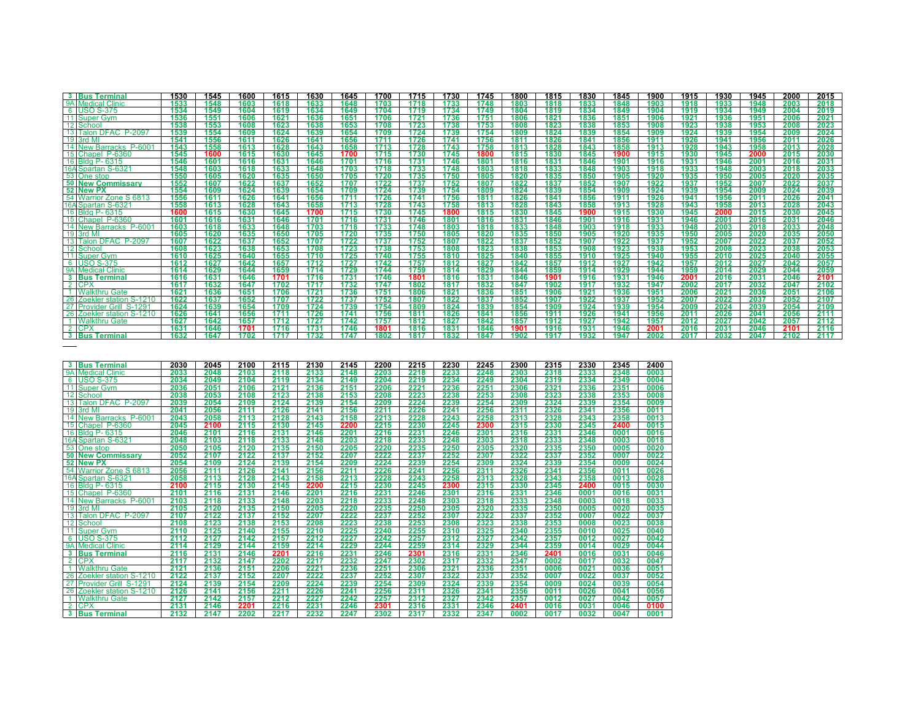| <b>3</b> Bus Terminal                                 | 1530         | 1545         | 1600         | 1615         | 1630         | 1645         | 1700         | 1715         | 1730         | 1745         | 1800         | 1815         | 1830         | 1845         | 1900         | 1915         | 1930         | 1945         | 2000         | 2015         |
|-------------------------------------------------------|--------------|--------------|--------------|--------------|--------------|--------------|--------------|--------------|--------------|--------------|--------------|--------------|--------------|--------------|--------------|--------------|--------------|--------------|--------------|--------------|
| 9A Medical Clinic                                     | 1533         | 1548         | 1603         | 1618         | 1633         | 1648         | 1703         | 1718         | 1733         | 1748         | 1803         | 1818         | 1833         | 1848         | 1903         | 1918         | 1933         | 1948         | 2003         | 2018         |
| 6 USO S-375                                           | 1534         | 1549         | 1604         | 1619         | 1634         | 1649         | 1704         | 1719         | 1734         | 1749         | 1804         | 1819         | 1834         | 1849         | 1904         | 1919         | 1934         | 1949         | 2004         | 2019         |
| 11 Super Gym                                          | 1536         | 1551         | 1606         | 1621         | 1636         | 1651         | 1706         | 1721         | 1736         | 1751         | 1806         | 1821         | 1836         | 1851         | 1906         | 1921         | 1936         | 1951         | 2006         | 2021         |
| 12 School                                             | 1538         | 1553         | 1608         | 1623         | 1638         | 1653         | 1708         | 1723         | 1738         | 1753         | 1808         | 1823         | 1838         | 1853         | 1908         | 1923         | 1938         | 1953         | 2008         | 2023         |
| 13 Talon DFAC P-2097                                  | 1539         | 1554         | 1609         | 1624         | 1639         | 1654         | 1709         | 1724         | 1739         | 1754         | 1809         | 1824         | 1839         | 1854         | 1909         | 1924         | 1939         | 1954         | 2009         | 2024         |
| 19 3rd MI                                             | 1541         | 1556         | 1611         | 1626         | 1641         | 1656         | 1711         | 1726         | 1741         | 1756         | 1811         | 1826         | 1841         | 1856         | 1911         | 1926         | 1941         | 1956         | 2011         | 2026         |
| 14 New Barracks P-6001                                | 1543         | 1558         | 1613         | 1628         | 1643         | 1658         | 1713         | 1728         | 1743         | 1758         | 1813         | 1828         | 1843         | 1858         | 1913         | 1928         | 1943         | 1958         | 2013         | 2028         |
| 15 Chapel P-6360                                      | 1545         | 1600         | 1615         | 1630         | 1645         | 1700         | 1715         | 1730         | 1745         | 1800         | 1815         | 1830         | 1845         | 1900         | 1915         | 1930         | 1945         | 2000         | 2015         | 2030         |
| 16 Bldg P- 6315                                       | 1546         | 1601         | 1616         | 1631         | 1646         | 1701         | 1716         | 1731         | 1746         | 1801         | 1816         | 1831         | 1846         | 1901         | 1916         | 1931         | 1946         | 2001         | 2016         | 2031         |
| 16A Spartan S-6321                                    | 1548         | 1603         | 1618         | 1633         | 1648         | 1703         | 1718         | 1733         | 1748         | 1803         | 1818         | 1833         | 1848         | 1903         | 1918         | 1933         | 1948         | 2003         | 2018         | 2033         |
| 53 One stop                                           | 1550         | 1605         | 1620         | 1635         | 1650         | 1705         | 1720         | 1735         | 1750         | 1805         | 1820         | 1835         | 1850         | 1905         | 1920         | 1935         | 1950         | 2005         | 2020         | 2035         |
| <b>50 New Commissary</b>                              | 1552         | 1607         | 1622         | 1637         | 1652         | 1707         | 1722         | 1737         | 1752         | 1807         | 1822         | 1837         | 1852         | 1907         | 1922         | 1937         | 1952         | 2007         | 2022         | 2037         |
| 52 New PX                                             | 1554         | 1609         | 1624         | 1639         | 1654         | 1709         | 1724         | 1739         | 1754         | 1809         | 1824         | 1839         | 1854         | 1909         | 1924         | 1939         | 1954         | 2009         | 2024         | 2039         |
| 54 Warrior Zone S 6813                                | 1556         | 1611         | 1626         | 1641         | 1656         | 1711         | 1726         | 1741         | 1756         | 1811         | 1826         | 1841         | 1856         | 1911         | 1926         | 1941         | 1956         | 2011         | 2026         | 2041         |
| 16A Spartan S-6321                                    | 1558         | 1613         | 1628         | 1643         | 1658         | 1713         | 1728         | 1743         | 1758         | 1813         | 1828         | 1843         | 1858         | 1913         | 1928         | 1943         | 1958         | 2013         | 2028         | 2043         |
| 16 Bldg P-6315                                        | 1600         | 1615         | 1630         | 1645         | 1700         | 1715         | 1730         | 1745         | 1800         | 1815         | 1830         | 1845         | 1900         | 1915         | 1930         | 1945         | 2000         | 2015         | 2030         | 2045         |
| 15 Chapel P-6360                                      | 1601         | 1616         | 1631         | 1646         | 1701         | 1716         | 1731         | 1746         | 1801         | 1816         | 1831         | 1846         | 1901         | 1916         | 1931         | 1946         | 2001         | 2016         | 2031         | 2046         |
| 14 New Barracks P-6001                                | 1603         | 1618         | 1633         | 1648         | 1703         | 1718         | 1733         | 1748         | 1803         | 1818         | 1833         | 1848         | 1903         | 1918         | 1933         | 1948         | 2003         | 2018         | 2033         | 2048         |
| 19 3rd MI                                             | 1605         | 1620         | 1635         | 1650         | 1705         | 1720         | 1735         | 1750         | 1805         | 1820         | 1835         | 1850         | 1905         | 1920         | 1935         | 1950         | 2005         | 2020         | 2035         | 2050         |
| 13 Talon DFAC P-2097                                  | 1607         | 1622         | 1637         | 1652         | 1707         | 1722         | 1737         | 1752         | 1807         | 1822         | 1837         | 1852         | 1907         | 1922         | 1937         | 1952         | 2007         | 2022         | 2037         | 2052         |
| 12 School                                             | 1608         | 1623         | 1638         | 1653         | 1708         | 1723         | 1738         | 1753         | 1808         | 1823         | 1838         | 1853         | 1908         | 1923         | 1938         | 1953         | 2008         | 2023         | 2038         | 2053         |
| 11 Super Gym                                          | 1610         | 1625         | 1640         | 1655         | 1710         | 1725         | 1740         | 1755         | 1810         | 1825         | 1840         | 1855         | 1910         | 1925         | 1940         | 1955         | 2010         | 2025         | 2040         | 2055         |
| 6 USO S-375                                           | 1612         | 1627         | 1642         | 1657         | 1712         | 1727         | 1742         | 1757         | 1812         | 1827         | 1842         | 1857         | 1912         | 1927         | 1942         | 1957         | 2012         | 2027         | 2042         | 2057         |
| 9A Medical Clinic                                     | 1614         | 1629         | 1644         | 1659         | 1714         | 1729         | 1744         | 1759         | 1814         | 1829         | 1844         | 1859         | 1914         | 1929         | 1944         | 1959         | 2014         | 2029         | 2044         | 2059         |
| 3 Bus Terminal                                        | 1616         | 1631         | 1646         | 1701         | 1716         | 1731         | 1746         | 1801         | 1816         | 1831         | 1846         | 1901         | 1916         | 1931         | 1946         | 2001         | 2016         | 2031         | 2046         | 2101         |
| 2 CPX                                                 | 1617         | 1632         | 1647         | 1702         | 1717         | 1732         | 1747         | 1802         | 1817         | 1832         | 1847         | 1902         | 1917         | 1932         | 1947         | 2002         | 2017         | 2032         | 2047         | 2102         |
| 1 Walkthru Gate                                       | 1621<br>1622 | 1636<br>1637 | 1651<br>1652 | 1706<br>1707 | 1721<br>1722 | 1736<br>1737 | 1751<br>1752 | 1806<br>1807 | 1821<br>1822 | 1836<br>1837 | 1851<br>1852 | 1906<br>1907 | 1921<br>1922 | 1936<br>1937 | 1951<br>1952 | 2006<br>2007 | 2021<br>2022 | 2036<br>2037 | 2051<br>2052 | 2106<br>2107 |
| 26 Zoekler station S-1210<br>27 Provider Grill S-1291 | 1624         | 1639         | 1654         | 1709         | 1724         | 1739         | 1754         | 1809         | 1824         | 1839         | 1854         | 1909         | 1924         | 1939         | 1954         | 2009         | 2024         | 2039         | 2054         | 2109         |
| 26 Zoekler station S-1210                             | 1626         | 1641         | 1656         | 1711         | 1726         | 1741         | 1756         | 1811         | 1826         | 1841         | 1856         | 1911         | 1926         | 1941         | 1956         | 2011         | 2026         | 2041         | 2056         | 2111         |
| 1 Walkthru Gate                                       | 1627         | 1642         | 1657         | 1712         | 1727         | 1742         | 1757         | 1812         | 1827         | 1842         | 1857         | 1912         | 1927         | 1942         | 1957         | 2012         | 2027         | 2042         | 2057         | 2112         |
| 2 CPX                                                 | 1631         | 1646         | 1701         | 1716         | 1731         | 1746         | 1801         | 1816         | 1831         | 1846         | 1901         | 1916         | 1931         | 1946         | 2001         | 2016         | 2031         | 2046         | 2101         | 2116         |
| 3 Bus Terminal                                        | 1632         | 1647         | 1702         | 1717         | 1732         | 1747         | 1802         | 1817         | 1832         | 1847         | 1902         | 1917         | 1932         | 1947         | 2002         | 2017         | 2032         | 2047         | 2102         | 2117         |
|                                                       |              |              |              |              |              |              |              |              |              |              |              |              |              |              |              |              |              |              |              |              |
|                                                       |              |              |              |              |              |              |              |              |              |              |              |              |              |              |              |              |              |              |              |              |
|                                                       |              |              |              |              |              |              |              |              |              |              |              |              |              |              |              |              |              |              |              |              |
| 3 Bus Terminal                                        | 2030         | 2045         | 2100         | 2115         | 2130         | 2145         | 2200         | 2215         | 2230         | 2245         | 2300         | 2315         | 2330         | 2345         | 2400         |              |              |              |              |              |
| 9A Medical Clinic                                     | 2033         | 2048         | 2103         | 2118         | 2133         | 2148         | 2203         | 2218         | 2233         | 2248         | 2303         | 2318         | 2333         | 2348         | 0003         |              |              |              |              |              |
| 6 USO S-375                                           | 2034         | 2049         | 2104         | 2119         | 2134         | 2149         | 2204         | 2219         | 2234         | 2249         | 2304         | 2319         | 2334         | 2349         | 0004         |              |              |              |              |              |
| 11 Super Gym                                          | 2036         | 2051         | 2106         | 2121         | 2136         | 2151         | 2206         | 2221         | 2236         | 2251         | 2306         | 2321         | 2336         | 2351         | 0006         |              |              |              |              |              |
| 12 School                                             | 2038         | 2053         | 2108         | 2123         | 2138         | 2153         | 2208         | 2223         | 2238         | 2253         | 2308         | 2323         | 2338         | 2353         | 0008         |              |              |              |              |              |
| 13 Talon DFAC P-2097                                  | 2039         | 2054         | 2109         | 2124         | 2139         | 2154         | 2209         | 2224         | 2239         | 2254         | 2309         | 2324         | 2339         | 2354         | 0009         |              |              |              |              |              |
| 19 3rd MI                                             | 2041         | 2056         | 2111         | 2126         | 2141         | 2156         | 2211         | 2226         | 2241         | 2256         | 2311         | 2326         | 2341         | 2356         | 0011         |              |              |              |              |              |
| 14 New Barracks P-6001                                | 2043         | 2058         | 2113         | 2128         | 2143         | 2158         | 2213         | 2228         | 2243         | 2258         | 2313         | 2328         | 2343         | 2358         | 0013         |              |              |              |              |              |
| 15 Chapel P-6360                                      | 2045         | 2100         | 2115         | 2130         | 2145         | 2200         | 2215         | 2230         | 2245         | 2300         | 2315         | 2330         | 2345         | 2400         | 0015         |              |              |              |              |              |
| 16 Bldg P-6315                                        | 2046         | 2101         | 2116         | 2131         | 2146         | 2201         | 2216         | 2231         | 2246         | 2301         | 2316         | 2331         | 2346         | 0001         | 0016         |              |              |              |              |              |
| 16A Spartan S-6321                                    | 2048         | 2103         | 2118         | 2133         | 2148         | 2203         | 2218         | 2233         | 2248         | 2303         | 2318         | 2333         | 2348         | 0003         | 0018         |              |              |              |              |              |
| 53 One stop                                           | 2050         | 2105         | 2120         | 2135         | 2150         | 2205         | 2220         | 2235         | 2250         | 2305         | 2320         | 2335         | 2350         | 0005         | 0020         |              |              |              |              |              |
|                                                       |              |              |              |              |              |              |              |              |              |              |              |              |              |              |              |              |              |              |              |              |

|                 | 6 USO S-375               | 2034 | 2049 | 2104 | 2119 | 2134 | 2149 | 2204 | 2219 | 2234 | 2249 | 2304 | 2319 | 2334 | 2349 | 0004 |
|-----------------|---------------------------|------|------|------|------|------|------|------|------|------|------|------|------|------|------|------|
|                 | 11 Super Gym              | 2036 | 2051 | 2106 | 2121 | 2136 | 2151 | 2206 | 2221 | 2236 | 2251 | 2306 | 2321 | 2336 | 2351 | 0006 |
| 12              | <b>School</b>             | 2038 | 2053 | 2108 | 2123 | 2138 | 2153 | 2208 | 2223 | 2238 | 2253 | 2308 | 2323 | 2338 | 2353 | 0008 |
| 13 <sup>1</sup> | Talon DFAC P-2097         | 2039 | 2054 | 2109 | 2124 | 2139 | 2154 | 2209 | 2224 | 2239 | 2254 | 2309 | 2324 | 2339 | 2354 | 0009 |
| 19              | 3rd MI                    | 2041 | 2056 | 2111 | 2126 | 2141 | 2156 | 2211 | 2226 | 2241 | 2256 | 2311 | 2326 | 2341 | 2356 | 0011 |
|                 | 14 New Barracks<br>P-6001 | 2043 | 2058 | 2113 | 2128 | 2143 | 2158 | 2213 | 2228 | 2243 | 2258 | 2313 | 2328 | 2343 | 2358 | 0013 |
|                 | 15 Chapel P-6360          | 2045 | 2100 | 2115 | 2130 | 2145 | 2200 | 2215 | 2230 | 2245 | 2300 | 2315 | 2330 | 2345 | 2400 | 0015 |
|                 | 16 Bldg P- 6315           | 2046 | 2101 | 2116 | 2131 | 2146 | 2201 | 2216 | 2231 | 2246 | 2301 | 2316 | 2331 | 2346 | 0001 | 0016 |
|                 | 16A Spartan S-6321        | 2048 | 2103 | 2118 | 2133 | 2148 | 2203 | 2218 | 2233 | 2248 | 2303 | 2318 | 2333 | 2348 | 0003 | 0018 |
|                 | 53 One stop               | 2050 | 2105 | 2120 | 2135 | 2150 | 2205 | 2220 | 2235 | 2250 | 2305 | 2320 | 2335 | 2350 | 0005 | 0020 |
|                 | <b>50 New Commissary</b>  | 2052 | 2107 | 2122 | 2137 | 2152 | 2207 | 2222 | 2237 | 2252 | 2307 | 2322 | 2337 | 2352 | 0007 | 0022 |
|                 | 52 New PX                 | 2054 | 2109 | 2124 | 2139 | 2154 | 2209 | 2224 | 2239 | 2254 | 2309 | 2324 | 2339 | 2354 | 0009 | 0024 |
|                 | 54 Warrior Zone S 6813    | 2056 | 2111 | 2126 | 2141 | 2156 | 2211 | 2226 | 2241 | 2256 | 2311 | 2326 | 2341 | 2356 | 0011 | 0026 |
|                 | 16A Spartan S-6321        | 2058 | 2113 | 2128 | 2143 | 2158 | 2213 | 2228 | 2243 | 2258 | 2313 | 2328 | 2343 | 2358 | 0013 | 0028 |
|                 | 16 Bldg P-6315            | 2100 | 2115 | 2130 | 2145 | 2200 | 2215 | 2230 | 2245 | 2300 | 2315 | 2330 | 2345 | 2400 | 0015 | 0030 |
|                 | 15 Chapel P-6360          | 2101 | 2116 | 2131 | 2146 | 2201 | 2216 | 2231 | 2246 | 2301 | 2316 | 2331 | 2346 | 0001 | 0016 | 0031 |
|                 | 14 New Barracks P-6001    | 2103 | 2118 | 2133 | 2148 | 2203 | 2218 | 2233 | 2248 | 2303 | 2318 | 2333 | 2348 | 0003 | 0018 | 0033 |
|                 | 19 3rd MI                 | 2105 | 2120 | 2135 | 2150 | 2205 | 2220 | 2235 | 2250 | 2305 | 2320 | 2335 | 2350 | 0005 | 0020 | 0035 |
| 13 <sup>1</sup> | Talon DFAC P-2097         | 2107 | 2122 | 2137 | 2152 | 2207 | 2222 | 2237 | 2252 | 2307 | 2322 | 2337 | 2352 | 0007 | 0022 | 0037 |
|                 | 12 School                 | 2108 | 2123 | 2138 | 2153 | 2208 | 2223 | 2238 | 2253 | 2308 | 2323 | 2338 | 2353 | 0008 | 0023 | 0038 |
|                 | 11 Super Gym              | 2110 | 2125 | 2140 | 2155 | 2210 | 2225 | 2240 | 2255 | 2310 | 2325 | 2340 | 2355 | 0010 | 0025 | 0040 |
|                 | 6 USO S-375               | 2112 | 2127 | 2142 | 2157 | 2212 | 2227 | 2242 | 2257 | 2312 | 2327 | 2342 | 2357 | 0012 | 0027 | 0042 |
|                 | 9A Medical Clinic         | 2114 | 2129 | 2144 | 2159 | 2214 | 2229 | 2244 | 2259 | 2314 | 2329 | 2344 | 2359 | 0014 | 0029 | 0044 |
|                 | 3 Bus Terminal            | 2116 | 2131 | 2146 | 2201 | 2216 | 2231 | 2246 | 2301 | 2316 | 2331 | 2346 | 2401 | 0016 | 0031 | 0046 |
|                 | 2 CPX                     | 2117 | 2132 | 2147 | 2202 | 2217 | 2232 | 2247 | 2302 | 2317 | 2332 | 2347 | 0002 | 0017 | 0032 | 0047 |
|                 | <b>Walkthru Gate</b>      | 2121 | 2136 | 2151 | 2206 | 2221 | 2236 | 2251 | 2306 | 2321 | 2336 | 2351 | 0006 | 0021 | 0036 | 0051 |
|                 | 26 Zoekler station S-1210 | 2122 | 2137 | 2152 | 2207 | 2222 | 2237 | 2252 | 2307 | 2322 | 2337 | 2352 | 0007 | 0022 | 0037 | 0052 |
|                 | 27 Provider Grill S-1291  | 2124 | 2139 | 2154 | 2209 | 2224 | 2239 | 2254 | 2309 | 2324 | 2339 | 2354 | 0009 | 0024 | 0039 | 0054 |
|                 | 26 Zoekler station S-1210 | 2126 | 2141 | 2156 | 2211 | 2226 | 2241 | 2256 | 2311 | 2326 | 2341 | 2356 | 0011 | 0026 | 0041 | 0056 |
|                 | <b>Walkthru Gate</b>      | 2127 | 2142 | 2157 | 2212 | 2227 | 2242 | 2257 | 2312 | 2327 | 2342 | 2357 | 0012 | 0027 | 0042 | 0057 |
|                 | 2 CPX                     | 2131 | 2146 | 2201 | 2216 | 2231 | 2246 | 2301 | 2316 | 2331 | 2346 | 2401 | 0016 | 0031 | 0046 | 0100 |
|                 | 3 Bus Terminal            | 2132 | 2147 | 2202 | 2217 | 2232 | 2247 | 2302 | 2317 | 2332 | 2347 | 0002 | 0017 | 0032 | 0047 | 0001 |